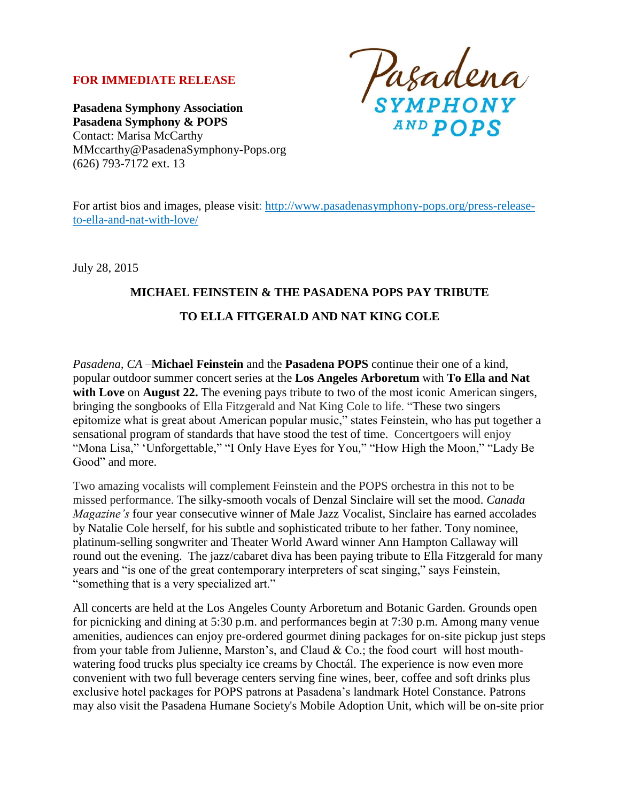## **FOR IMMEDIATE RELEASE**

Pasadena<br>symphony **AND POPS** 

**Pasadena Symphony Association Pasadena Symphony & POPS** Contact: Marisa McCarthy MMccarthy@PasadenaSymphony-Pops.org (626) 793-7172 ext. 13

For artist bios and images, please visit: [http://www.pasadenasymphony-pops.org/press-release](http://www.pasadenasymphony-pops.org/press-release-to-ella-and-nat-with-love/)[to-ella-and-nat-with-love/](http://www.pasadenasymphony-pops.org/press-release-to-ella-and-nat-with-love/)

July 28, 2015

## **MICHAEL FEINSTEIN & THE PASADENA POPS PAY TRIBUTE TO ELLA FITGERALD AND NAT KING COLE**

*Pasadena, CA –***Michael Feinstein** and the **Pasadena POPS** continue their one of a kind, popular outdoor summer concert series at the **Los Angeles Arboretum** with **To Ella and Nat**  with Love on August 22. The evening pays tribute to two of the most iconic American singers, bringing the songbooks of Ella Fitzgerald and Nat King Cole to life. "These two singers epitomize what is great about American popular music," states Feinstein, who has put together a sensational program of standards that have stood the test of time. Concertgoers will enjoy "Mona Lisa," 'Unforgettable," "I Only Have Eyes for You," "How High the Moon," "Lady Be Good" and more.

Two amazing vocalists will complement Feinstein and the POPS orchestra in this not to be missed performance. The silky-smooth vocals of Denzal Sinclaire will set the mood. *Canada Magazine's* four year consecutive winner of Male Jazz Vocalist, Sinclaire has earned accolades by Natalie Cole herself, for his subtle and sophisticated tribute to her father. Tony nominee, platinum-selling songwriter and Theater World Award winner Ann Hampton Callaway will round out the evening. The jazz/cabaret diva has been paying tribute to Ella Fitzgerald for many years and "is one of the great contemporary interpreters of scat singing," says Feinstein, "something that is a very specialized art."

All concerts are held at the Los Angeles County Arboretum and Botanic Garden. Grounds open for picnicking and dining at 5:30 p.m. and performances begin at 7:30 p.m. Among many venue amenities, audiences can enjoy pre-ordered gourmet dining packages for on-site pickup just steps from your table from Julienne, Marston's, and Claud & Co.; the food court will host mouthwatering food trucks plus specialty ice creams by Choctál. The experience is now even more convenient with two full beverage centers serving fine wines, beer, coffee and soft drinks plus exclusive hotel packages for POPS patrons at Pasadena's landmark Hotel Constance. Patrons may also visit the Pasadena Humane Society's Mobile Adoption Unit, which will be on-site prior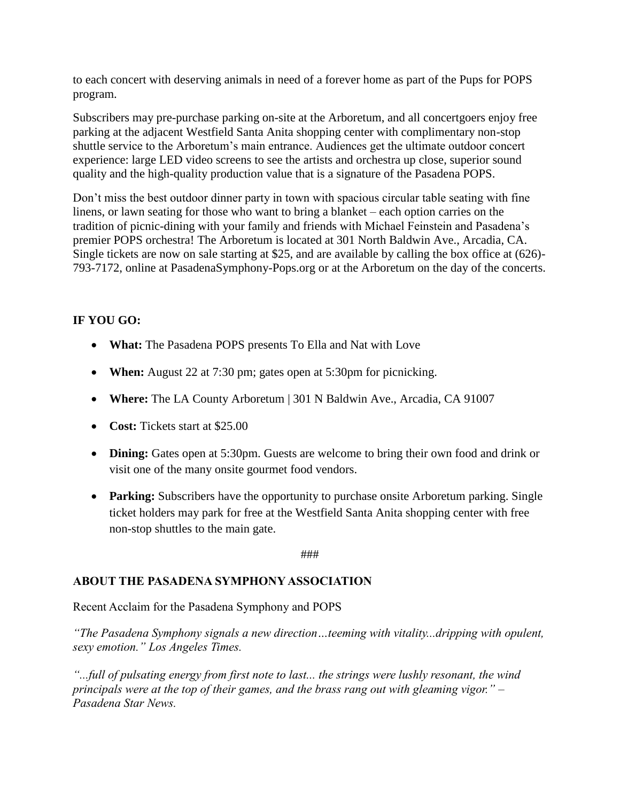to each concert with deserving animals in need of a forever home as part of the Pups for POPS program.

Subscribers may pre-purchase parking on-site at the Arboretum, and all concertgoers enjoy free parking at the adjacent Westfield Santa Anita shopping center with complimentary non-stop shuttle service to the Arboretum's main entrance. Audiences get the ultimate outdoor concert experience: large LED video screens to see the artists and orchestra up close, superior sound quality and the high-quality production value that is a signature of the Pasadena POPS.

Don't miss the best outdoor dinner party in town with spacious circular table seating with fine linens, or lawn seating for those who want to bring a blanket – each option carries on the tradition of picnic-dining with your family and friends with Michael Feinstein and Pasadena's premier POPS orchestra! The Arboretum is located at 301 North Baldwin Ave., Arcadia, CA. Single tickets are now on sale starting at \$25, and are available by calling the box office at (626)- 793-7172, online at PasadenaSymphony-Pops.org or at the Arboretum on the day of the concerts.

## **IF YOU GO:**

- **What:** The Pasadena POPS presents To Ella and Nat with Love
- **When:** August 22 at 7:30 pm; gates open at 5:30 pm for picnicking.
- **Where:** The LA County Arboretum | 301 N Baldwin Ave., Arcadia, CA 91007
- **Cost:** Tickets start at \$25.00
- **Dining:** Gates open at 5:30pm. Guests are welcome to bring their own food and drink or visit one of the many onsite gourmet food vendors.
- **Parking:** Subscribers have the opportunity to purchase onsite Arboretum parking. Single ticket holders may park for free at the Westfield Santa Anita shopping center with free non-stop shuttles to the main gate.

###

## **ABOUT THE PASADENA SYMPHONY ASSOCIATION**

Recent Acclaim for the Pasadena Symphony and POPS

*"The Pasadena Symphony signals a new direction…teeming with vitality...dripping with opulent, sexy emotion." Los Angeles Times.* 

*"...full of pulsating energy from first note to last... the strings were lushly resonant, the wind principals were at the top of their games, and the brass rang out with gleaming vigor." – Pasadena Star News.*